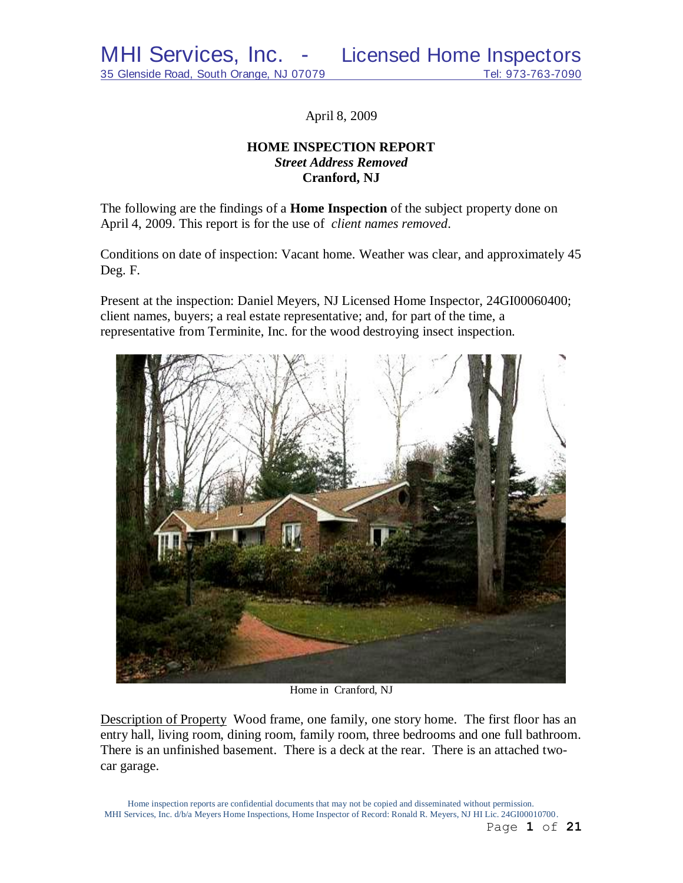April 8, 2009

# **HOME INSPECTION REPORT** *Street Address Removed*  **Cranford, NJ**

The following are the findings of a **Home Inspection** of the subject property done on April 4, 2009. This report is for the use of *client names removed*.

Conditions on date of inspection: Vacant home. Weather was clear, and approximately 45 Deg. F.

Present at the inspection: Daniel Meyers, NJ Licensed Home Inspector, 24GI00060400; client names, buyers; a real estate representative; and, for part of the time, a representative from Terminite, Inc. for the wood destroying insect inspection.



Home in Cranford, NJ

Description of Property Wood frame, one family, one story home. The first floor has an entry hall, living room, dining room, family room, three bedrooms and one full bathroom. There is an unfinished basement. There is a deck at the rear. There is an attached twocar garage.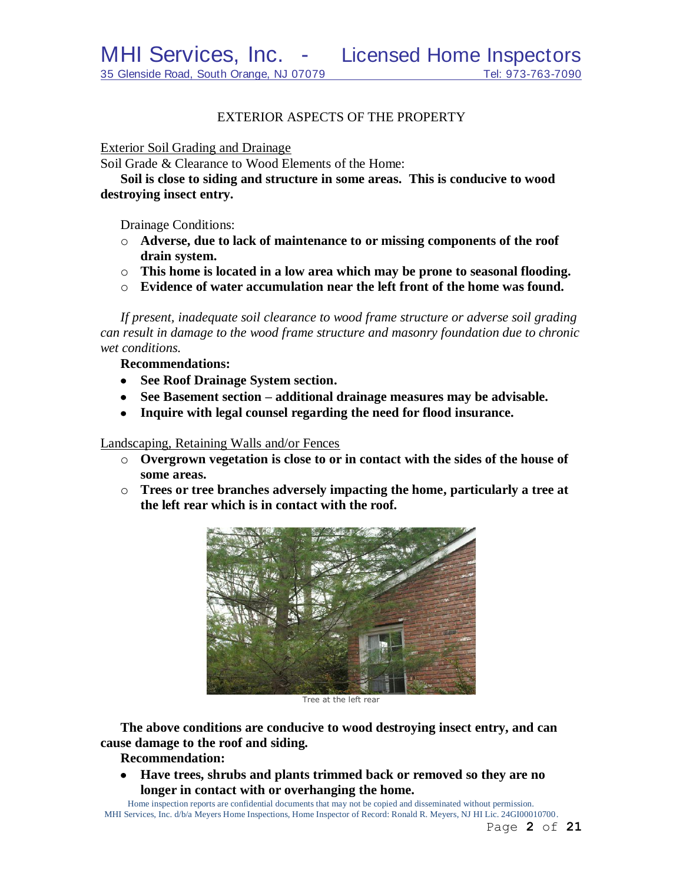## EXTERIOR ASPECTS OF THE PROPERTY

#### Exterior Soil Grading and Drainage

Soil Grade & Clearance to Wood Elements of the Home:

**Soil is close to siding and structure in some areas. This is conducive to wood destroying insect entry.**

Drainage Conditions:

- o **Adverse, due to lack of maintenance to or missing components of the roof drain system.**
- o **This home is located in a low area which may be prone to seasonal flooding.**
- o **Evidence of water accumulation near the left front of the home was found.**

*If present, inadequate soil clearance to wood frame structure or adverse soil grading can result in damage to the wood frame structure and masonry foundation due to chronic wet conditions.*

**Recommendations:**

- **See Roof Drainage System section.**
- **See Basement section – additional drainage measures may be advisable.**
- **Inquire with legal counsel regarding the need for flood insurance.**

Landscaping, Retaining Walls and/or Fences

- o **Overgrown vegetation is close to or in contact with the sides of the house of some areas.**
- o **Trees or tree branches adversely impacting the home, particularly a tree at the left rear which is in contact with the roof.**



Tree at the left rear

**The above conditions are conducive to wood destroying insect entry, and can cause damage to the roof and siding.**

**Recommendation:**

**Have trees, shrubs and plants trimmed back or removed so they are no**   $\bullet$ **longer in contact with or overhanging the home.**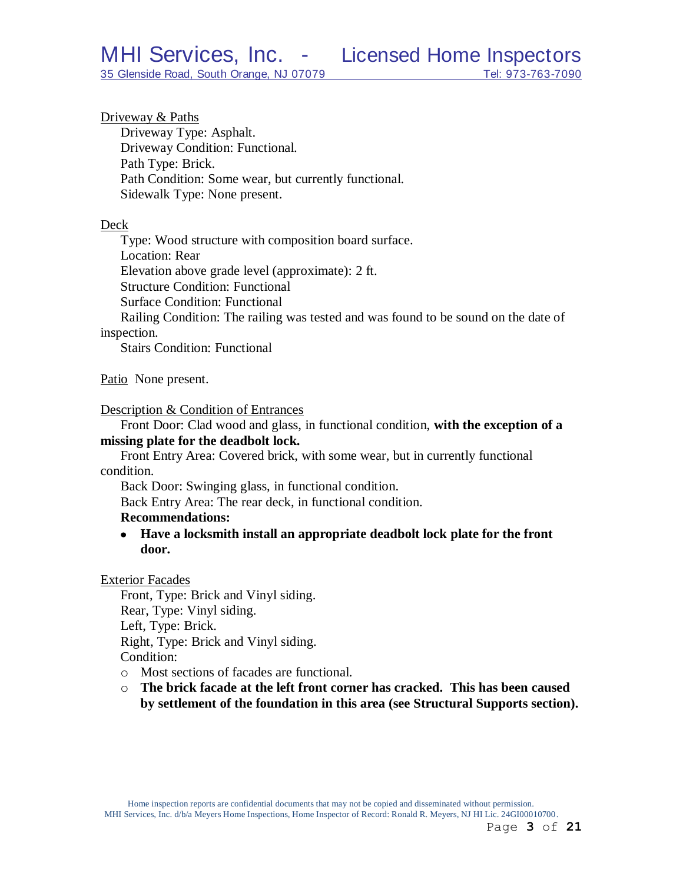Driveway & Paths

Driveway Type: Asphalt. Driveway Condition: Functional. Path Type: Brick. Path Condition: Some wear, but currently functional. Sidewalk Type: None present.

#### Deck

Type: Wood structure with composition board surface. Location: Rear Elevation above grade level (approximate): 2 ft. Structure Condition: Functional Surface Condition: Functional

Railing Condition: The railing was tested and was found to be sound on the date of inspection.

Stairs Condition: Functional

Patio None present.

#### Description & Condition of Entrances

Front Door: Clad wood and glass, in functional condition, **with the exception of a missing plate for the deadbolt lock.**

Front Entry Area: Covered brick, with some wear, but in currently functional condition.

Back Door: Swinging glass, in functional condition.

Back Entry Area: The rear deck, in functional condition.

#### **Recommendations:**

**Have a locksmith install an appropriate deadbolt lock plate for the front door.**

#### Exterior Facades

Front, Type: Brick and Vinyl siding. Rear, Type: Vinyl siding. Left, Type: Brick. Right, Type: Brick and Vinyl siding. Condition:

- o Most sections of facades are functional.
- o **The brick facade at the left front corner has cracked. This has been caused by settlement of the foundation in this area (see Structural Supports section).**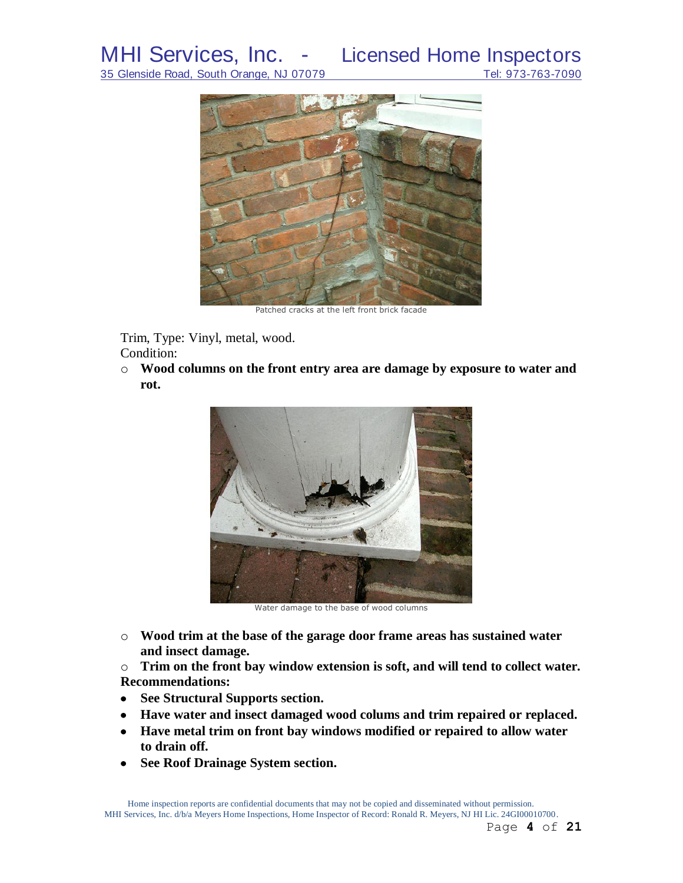

Patched cracks at the left front brick facade

Trim, Type: Vinyl, metal, wood. Condition:

o **Wood columns on the front entry area are damage by exposure to water and rot.**



Water damage to the base of wood columns

o **Wood trim at the base of the garage door frame areas has sustained water and insect damage.**

o **Trim on the front bay window extension is soft, and will tend to collect water. Recommendations:**

- **See Structural Supports section.**
- **Have water and insect damaged wood colums and trim repaired or replaced.**
- **Have metal trim on front bay windows modified or repaired to allow water to drain off.**
- **See Roof Drainage System section.** $\bullet$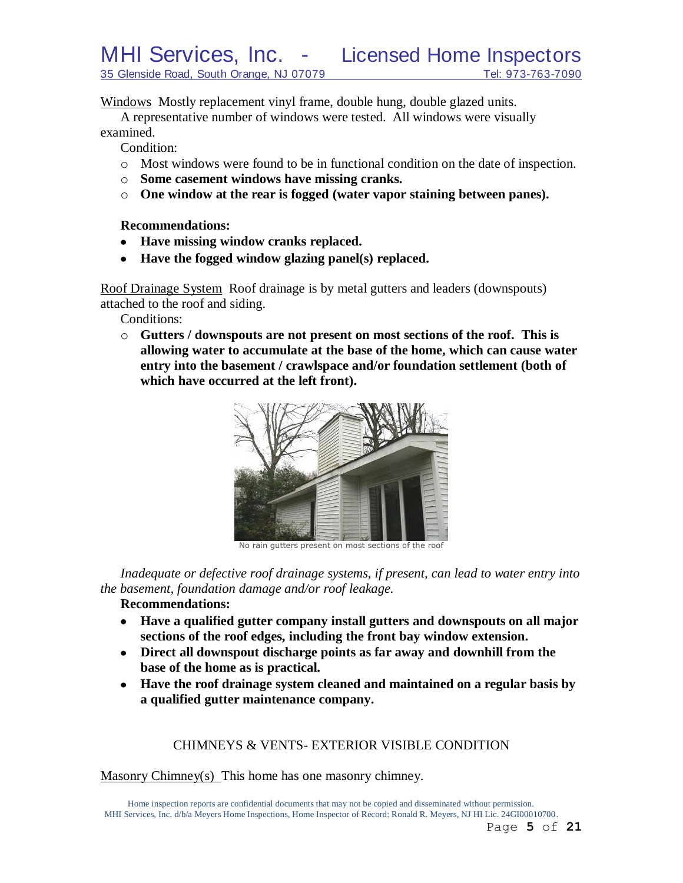Windows Mostly replacement vinyl frame, double hung, double glazed units.

A representative number of windows were tested. All windows were visually examined.

Condition:

- o Most windows were found to be in functional condition on the date of inspection.
- o **Some casement windows have missing cranks.**
- o **One window at the rear is fogged (water vapor staining between panes).**

**Recommendations:**

- **Have missing window cranks replaced.**
- **Have the fogged window glazing panel(s) replaced.**

Roof Drainage System Roof drainage is by metal gutters and leaders (downspouts) attached to the roof and siding.

Conditions:

o **Gutters / downspouts are not present on most sections of the roof. This is allowing water to accumulate at the base of the home, which can cause water entry into the basement / crawlspace and/or foundation settlement (both of which have occurred at the left front).**



No rain gutters present on most sections of the roof

*Inadequate or defective roof drainage systems, if present, can lead to water entry into the basement, foundation damage and/or roof leakage.*

## **Recommendations:**

- **Have a qualified gutter company install gutters and downspouts on all major sections of the roof edges, including the front bay window extension.**
- **Direct all downspout discharge points as far away and downhill from the base of the home as is practical.**
- **Have the roof drainage system cleaned and maintained on a regular basis by a qualified gutter maintenance company.**

# CHIMNEYS & VENTS- EXTERIOR VISIBLE CONDITION

Masonry Chimney(s) This home has one masonry chimney.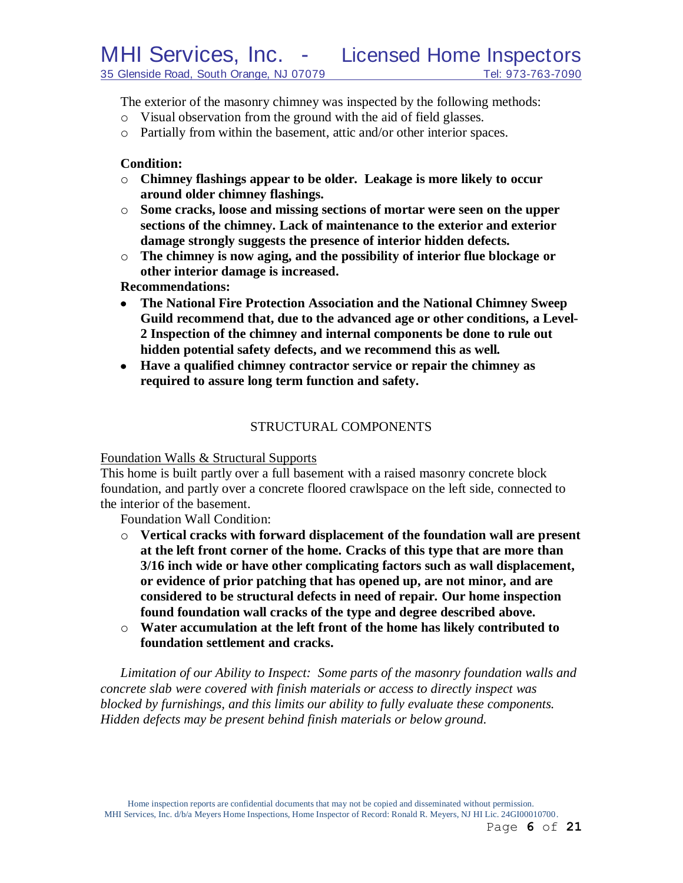The exterior of the masonry chimney was inspected by the following methods:

- o Visual observation from the ground with the aid of field glasses.
- o Partially from within the basement, attic and/or other interior spaces.

## **Condition:**

- o **Chimney flashings appear to be older. Leakage is more likely to occur around older chimney flashings.**
- o **Some cracks, loose and missing sections of mortar were seen on the upper sections of the chimney. Lack of maintenance to the exterior and exterior damage strongly suggests the presence of interior hidden defects.**
- o **The chimney is now aging, and the possibility of interior flue blockage or other interior damage is increased.**

**Recommendations:**

- **The National Fire Protection Association and the National Chimney Sweep Guild recommend that, due to the advanced age or other conditions, a Level-2 Inspection of the chimney and internal components be done to rule out hidden potential safety defects, and we recommend this as well***.*
- **Have a qualified chimney contractor service or repair the chimney as required to assure long term function and safety.**

# STRUCTURAL COMPONENTS

## Foundation Walls & Structural Supports

This home is built partly over a full basement with a raised masonry concrete block foundation, and partly over a concrete floored crawlspace on the left side, connected to the interior of the basement.

Foundation Wall Condition:

- o **Vertical cracks with forward displacement of the foundation wall are present at the left front corner of the home. Cracks of this type that are more than 3/16 inch wide or have other complicating factors such as wall displacement, or evidence of prior patching that has opened up, are not minor, and are considered to be structural defects in need of repair. Our home inspection found foundation wall cracks of the type and degree described above.**
- o **Water accumulation at the left front of the home has likely contributed to foundation settlement and cracks.**

*Limitation of our Ability to Inspect: Some parts of the masonry foundation walls and concrete slab were covered with finish materials or access to directly inspect was blocked by furnishings, and this limits our ability to fully evaluate these components. Hidden defects may be present behind finish materials or below ground.*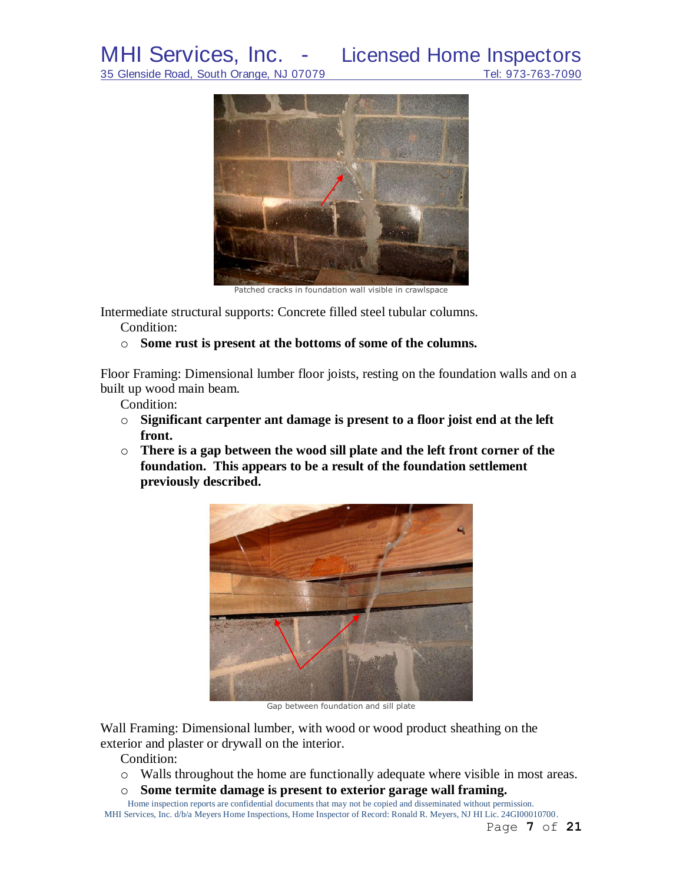35 Glenside Road, South Orange, NJ 07079



Patched cracks in foundation wall visible in crawlspace

Intermediate structural supports: Concrete filled steel tubular columns.

Condition:

## o **Some rust is present at the bottoms of some of the columns.**

Floor Framing: Dimensional lumber floor joists, resting on the foundation walls and on a built up wood main beam.

Condition:

- o **Significant carpenter ant damage is present to a floor joist end at the left front.**
- o **There is a gap between the wood sill plate and the left front corner of the foundation. This appears to be a result of the foundation settlement previously described.**



Gap between foundation and sill plate

Wall Framing: Dimensional lumber, with wood or wood product sheathing on the exterior and plaster or drywall on the interior.

Condition:

- o Walls throughout the home are functionally adequate where visible in most areas.
- o **Some termite damage is present to exterior garage wall framing.**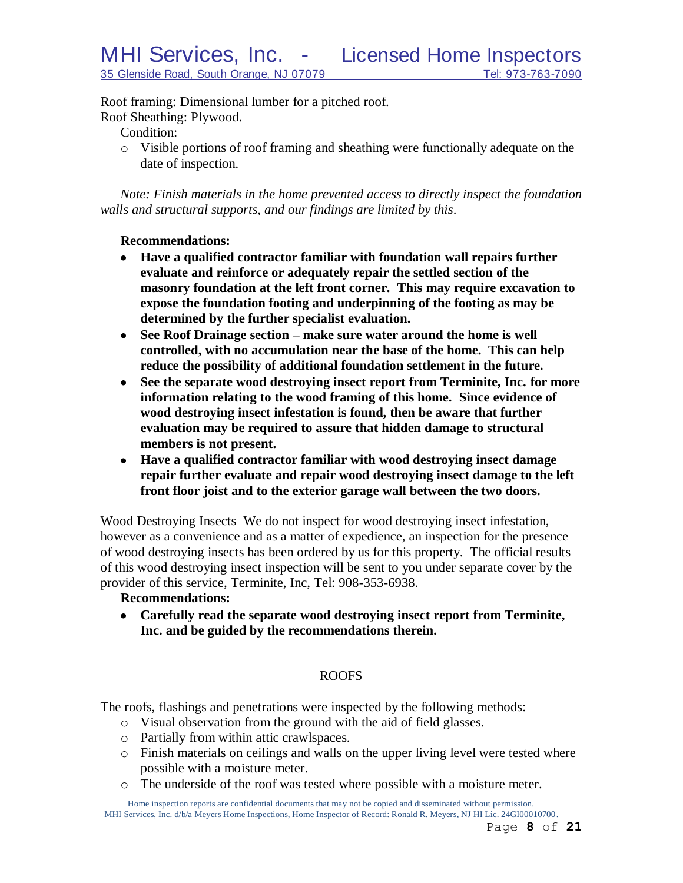Roof framing: Dimensional lumber for a pitched roof. Roof Sheathing: Plywood.

Condition:

o Visible portions of roof framing and sheathing were functionally adequate on the date of inspection.

*Note: Finish materials in the home prevented access to directly inspect the foundation walls and structural supports, and our findings are limited by this*.

## **Recommendations:**

- **Have a qualified contractor familiar with foundation wall repairs further evaluate and reinforce or adequately repair the settled section of the masonry foundation at the left front corner. This may require excavation to expose the foundation footing and underpinning of the footing as may be determined by the further specialist evaluation.**
- **See Roof Drainage section – make sure water around the home is well controlled, with no accumulation near the base of the home. This can help reduce the possibility of additional foundation settlement in the future.**
- **See the separate wood destroying insect report from Terminite, Inc. for more information relating to the wood framing of this home. Since evidence of wood destroying insect infestation is found, then be aware that further evaluation may be required to assure that hidden damage to structural members is not present.**
- **Have a qualified contractor familiar with wood destroying insect damage repair further evaluate and repair wood destroying insect damage to the left front floor joist and to the exterior garage wall between the two doors.**

Wood Destroying Insects We do not inspect for wood destroying insect infestation, however as a convenience and as a matter of expedience, an inspection for the presence of wood destroying insects has been ordered by us for this property. The official results of this wood destroying insect inspection will be sent to you under separate cover by the provider of this service, Terminite, Inc, Tel: 908-353-6938.

## **Recommendations:**

**Carefully read the separate wood destroying insect report from Terminite, Inc. and be guided by the recommendations therein.**

# ROOFS

The roofs, flashings and penetrations were inspected by the following methods:

- o Visual observation from the ground with the aid of field glasses.
- o Partially from within attic crawlspaces.
- o Finish materials on ceilings and walls on the upper living level were tested where possible with a moisture meter.
- o The underside of the roof was tested where possible with a moisture meter.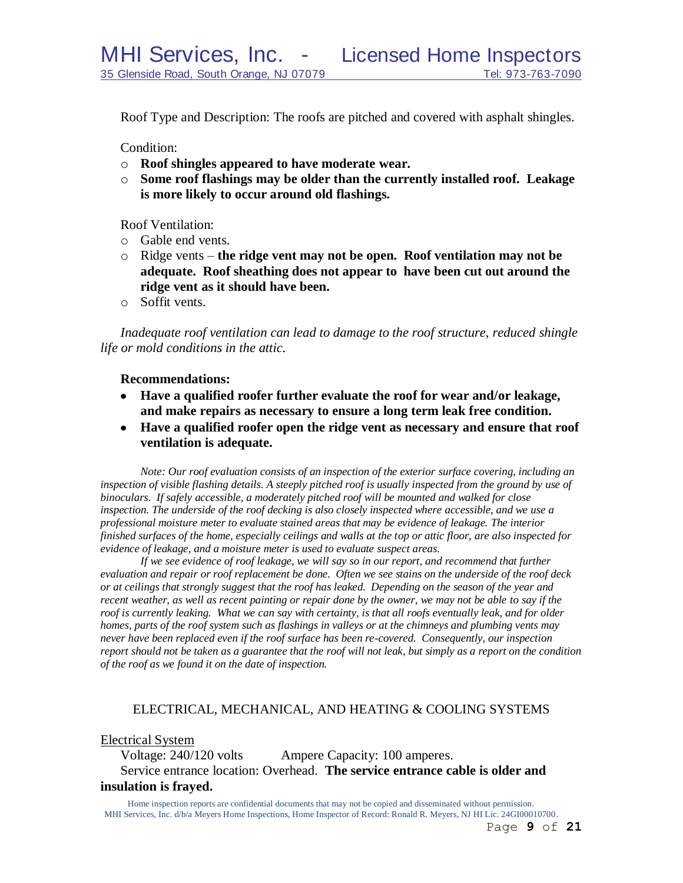Roof Type and Description: The roofs are pitched and covered with asphalt shingles.

Condition:

- o **Roof shingles appeared to have moderate wear.**
- o **Some roof flashings may be older than the currently installed roof. Leakage is more likely to occur around old flashings.**

Roof Ventilation:

- o Gable end vents.
- o Ridge vents **the ridge vent may not be open. Roof ventilation may not be adequate. Roof sheathing does not appear to have been cut out around the ridge vent as it should have been.**
- o Soffit vents.

*Inadequate roof ventilation can lead to damage to the roof structure, reduced shingle life or mold conditions in the attic.*

#### **Recommendations:**

- **Have a qualified roofer further evaluate the roof for wear and/or leakage, and make repairs as necessary to ensure a long term leak free condition.**
- **Have a qualified roofer open the ridge vent as necessary and ensure that roof ventilation is adequate.**

*Note: Our roof evaluation consists of an inspection of the exterior surface covering, including an inspection of visible flashing details. A steeply pitched roof is usually inspected from the ground by use of binoculars. If safely accessible, a moderately pitched roof will be mounted and walked for close inspection. The underside of the roof decking is also closely inspected where accessible, and we use a professional moisture meter to evaluate stained areas that may be evidence of leakage. The interior finished surfaces of the home, especially ceilings and walls at the top or attic floor, are also inspected for evidence of leakage, and a moisture meter is used to evaluate suspect areas.*

*If we see evidence of roof leakage, we will say so in our report, and recommend that further evaluation and repair or roof replacement be done. Often we see stains on the underside of the roof deck or at ceilings that strongly suggest that the roof has leaked. Depending on the season of the year and recent weather, as well as recent painting or repair done by the owner, we may not be able to say if the roof is currently leaking. What we can say with certainty, is that all roofs eventually leak, and for older homes, parts of the roof system such as flashings in valleys or at the chimneys and plumbing vents may never have been replaced even if the roof surface has been re-covered. Consequently, our inspection report should not be taken as a guarantee that the roof will not leak, but simply as a report on the condition of the roof as we found it on the date of inspection.*

# ELECTRICAL, MECHANICAL, AND HEATING & COOLING SYSTEMS

Electrical System

Voltage: 240/120 volts Ampere Capacity: 100 amperes. Service entrance location: Overhead. **The service entrance cable is older and insulation is frayed.**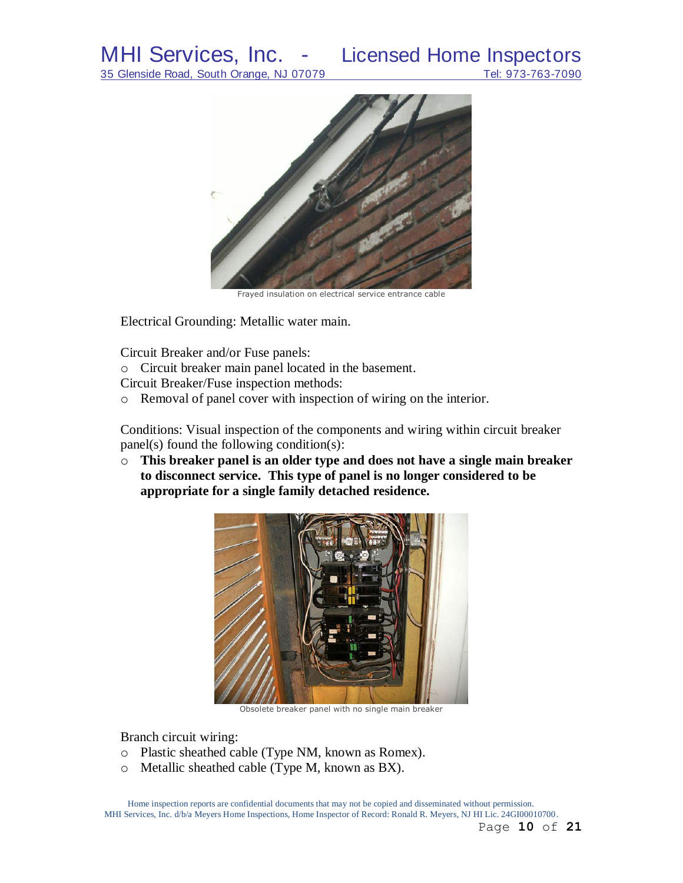

Frayed insulation on electrical service entrance cable

Electrical Grounding: Metallic water main.

Circuit Breaker and/or Fuse panels:

o Circuit breaker main panel located in the basement.

Circuit Breaker/Fuse inspection methods:

o Removal of panel cover with inspection of wiring on the interior.

Conditions: Visual inspection of the components and wiring within circuit breaker panel(s) found the following condition(s):

o **This breaker panel is an older type and does not have a single main breaker to disconnect service. This type of panel is no longer considered to be appropriate for a single family detached residence.**



Obsolete breaker panel with no single main breaker

Branch circuit wiring:

- o Plastic sheathed cable (Type NM, known as Romex).
- o Metallic sheathed cable (Type M, known as BX).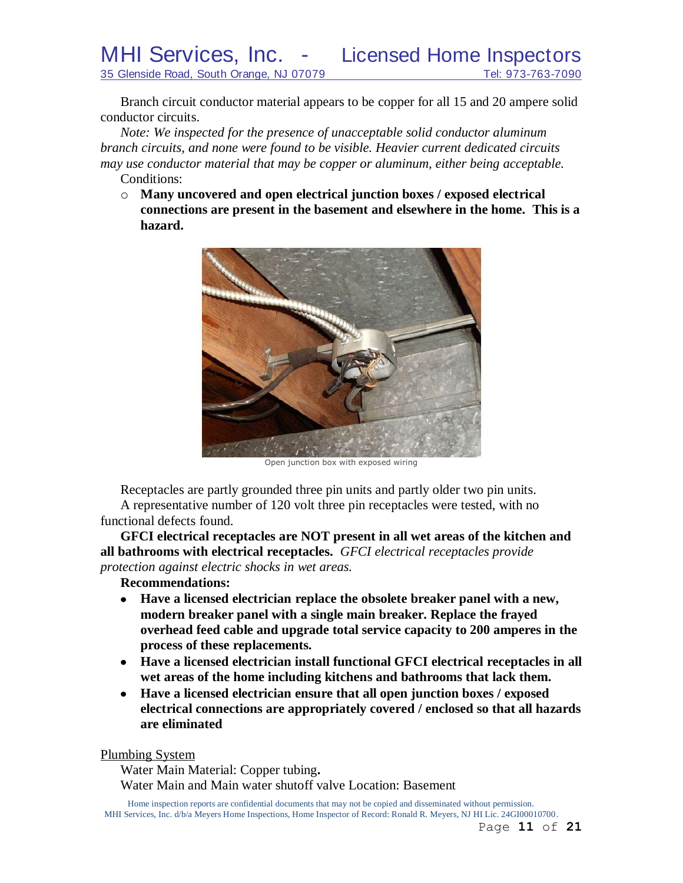MHI Services, Inc. - Licensed Home Inspectors 35 Glenside Road, South Orange, NJ 07079 Tel: 973-763-7090

Branch circuit conductor material appears to be copper for all 15 and 20 ampere solid conductor circuits.

*Note: We inspected for the presence of unacceptable solid conductor aluminum branch circuits, and none were found to be visible. Heavier current dedicated circuits may use conductor material that may be copper or aluminum, either being acceptable.* Conditions:

o **Many uncovered and open electrical junction boxes / exposed electrical connections are present in the basement and elsewhere in the home. This is a hazard.**



Open junction box with exposed wiring

Receptacles are partly grounded three pin units and partly older two pin units. A representative number of 120 volt three pin receptacles were tested, with no functional defects found.

**GFCI electrical receptacles are NOT present in all wet areas of the kitchen and all bathrooms with electrical receptacles.** *GFCI electrical receptacles provide* 

*protection against electric shocks in wet areas.*

**Recommendations:**

- **Have a licensed electrician replace the obsolete breaker panel with a new,**   $\bullet$ **modern breaker panel with a single main breaker. Replace the frayed overhead feed cable and upgrade total service capacity to 200 amperes in the process of these replacements.**
- **Have a licensed electrician install functional GFCI electrical receptacles in all wet areas of the home including kitchens and bathrooms that lack them.**
- **Have a licensed electrician ensure that all open junction boxes / exposed electrical connections are appropriately covered / enclosed so that all hazards are eliminated**

Plumbing System

Water Main Material: Copper tubing**.** Water Main and Main water shutoff valve Location: Basement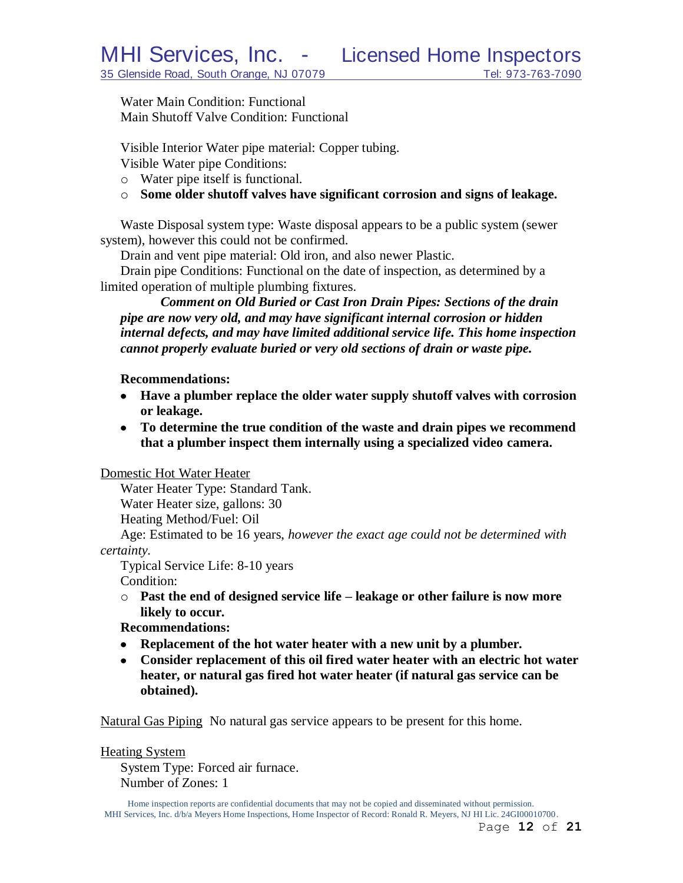Water Main Condition: Functional Main Shutoff Valve Condition: Functional

Visible Interior Water pipe material: Copper tubing.

Visible Water pipe Conditions:

- o Water pipe itself is functional.
- o **Some older shutoff valves have significant corrosion and signs of leakage.**

Waste Disposal system type: Waste disposal appears to be a public system (sewer system), however this could not be confirmed.

Drain and vent pipe material: Old iron, and also newer Plastic.

Drain pipe Conditions: Functional on the date of inspection, as determined by a limited operation of multiple plumbing fixtures.

*Comment on Old Buried or Cast Iron Drain Pipes: Sections of the drain pipe are now very old, and may have significant internal corrosion or hidden internal defects, and may have limited additional service life. This home inspection cannot properly evaluate buried or very old sections of drain or waste pipe.*

## **Recommendations:**

- **Have a plumber replace the older water supply shutoff valves with corrosion or leakage.**
- **To determine the true condition of the waste and drain pipes we recommend that a plumber inspect them internally using a specialized video camera.**

Domestic Hot Water Heater

Water Heater Type: Standard Tank. Water Heater size, gallons: 30

Heating Method/Fuel: Oil

Age: Estimated to be 16 years, *however the exact age could not be determined with certainty.*

Typical Service Life: 8-10 years Condition:

o **Past the end of designed service life – leakage or other failure is now more likely to occur.**

# **Recommendations:**

- **Replacement of the hot water heater with a new unit by a plumber.**
- **Consider replacement of this oil fired water heater with an electric hot water heater, or natural gas fired hot water heater (if natural gas service can be obtained).**

Natural Gas Piping No natural gas service appears to be present for this home.

Heating System

System Type: Forced air furnace. Number of Zones: 1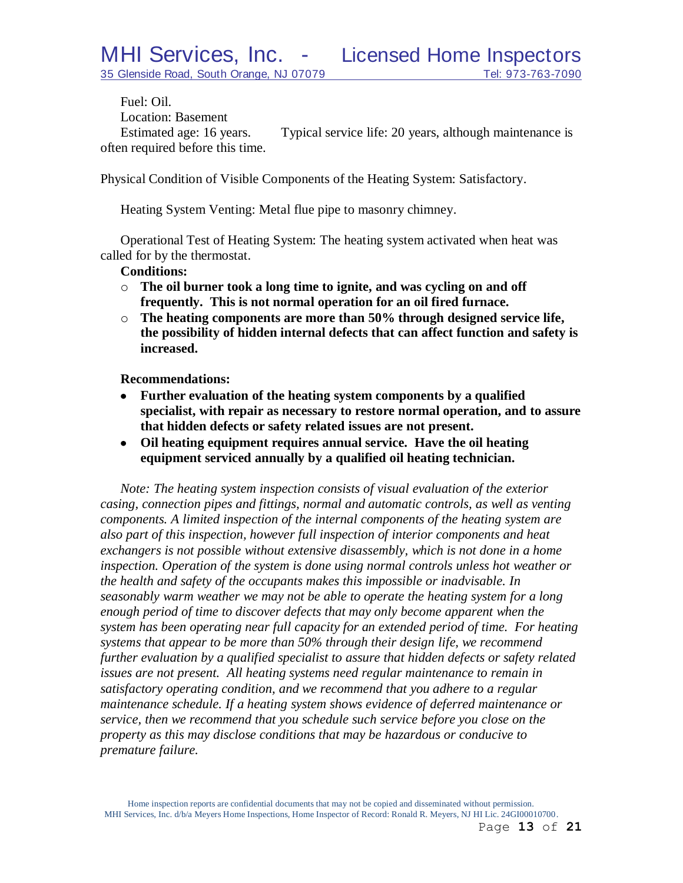Fuel: Oil. Location: Basement Estimated age: 16 years. Typical service life: 20 years, although maintenance is often required before this time.

Physical Condition of Visible Components of the Heating System: Satisfactory.

Heating System Venting: Metal flue pipe to masonry chimney.

Operational Test of Heating System: The heating system activated when heat was called for by the thermostat.

**Conditions:**

- o **The oil burner took a long time to ignite, and was cycling on and off frequently. This is not normal operation for an oil fired furnace.**
- o **The heating components are more than 50% through designed service life, the possibility of hidden internal defects that can affect function and safety is increased.**

**Recommendations:**

- **Further evaluation of the heating system components by a qualified**   $\bullet$ **specialist, with repair as necessary to restore normal operation, and to assure that hidden defects or safety related issues are not present.**
- **Oil heating equipment requires annual service. Have the oil heating equipment serviced annually by a qualified oil heating technician.**

*Note: The heating system inspection consists of visual evaluation of the exterior casing, connection pipes and fittings, normal and automatic controls, as well as venting components. A limited inspection of the internal components of the heating system are also part of this inspection, however full inspection of interior components and heat exchangers is not possible without extensive disassembly, which is not done in a home inspection. Operation of the system is done using normal controls unless hot weather or the health and safety of the occupants makes this impossible or inadvisable. In seasonably warm weather we may not be able to operate the heating system for a long enough period of time to discover defects that may only become apparent when the system has been operating near full capacity for an extended period of time. For heating systems that appear to be more than 50% through their design life, we recommend further evaluation by a qualified specialist to assure that hidden defects or safety related issues are not present. All heating systems need regular maintenance to remain in satisfactory operating condition, and we recommend that you adhere to a regular maintenance schedule. If a heating system shows evidence of deferred maintenance or service, then we recommend that you schedule such service before you close on the property as this may disclose conditions that may be hazardous or conducive to premature failure.*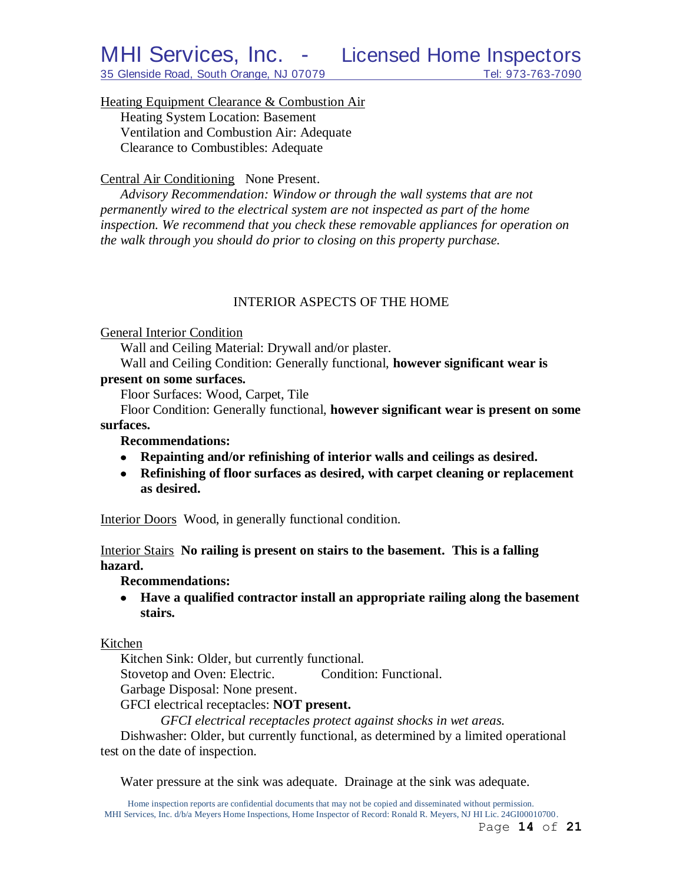Heating Equipment Clearance & Combustion Air

Heating System Location: Basement Ventilation and Combustion Air: Adequate Clearance to Combustibles: Adequate

# Central Air Conditioning None Present.

*Advisory Recommendation: Window or through the wall systems that are not permanently wired to the electrical system are not inspected as part of the home inspection. We recommend that you check these removable appliances for operation on the walk through you should do prior to closing on this property purchase.*

# INTERIOR ASPECTS OF THE HOME

## General Interior Condition

Wall and Ceiling Material: Drywall and/or plaster.

Wall and Ceiling Condition: Generally functional, **however significant wear is** 

## **present on some surfaces.**

Floor Surfaces: Wood, Carpet, Tile

Floor Condition: Generally functional, **however significant wear is present on some surfaces.**

## **Recommendations:**

- **Repainting and/or refinishing of interior walls and ceilings as desired.**
- **Refinishing of floor surfaces as desired, with carpet cleaning or replacement as desired.**

Interior Doors Wood, in generally functional condition.

Interior Stairs **No railing is present on stairs to the basement. This is a falling hazard.**

**Recommendations:**

**Have a qualified contractor install an appropriate railing along the basement stairs.**

## Kitchen

Kitchen Sink: Older, but currently functional.

Stovetop and Oven: Electric. Condition: Functional.

Garbage Disposal: None present.

GFCI electrical receptacles: **NOT present.**

*GFCI electrical receptacles protect against shocks in wet areas.*

Dishwasher: Older, but currently functional, as determined by a limited operational test on the date of inspection.

Water pressure at the sink was adequate. Drainage at the sink was adequate.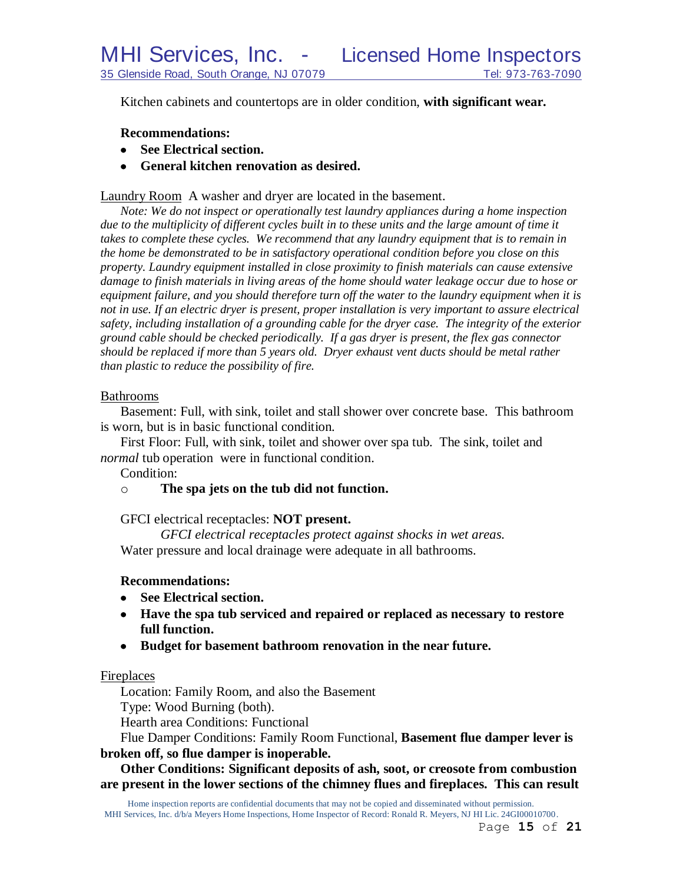Kitchen cabinets and countertops are in older condition, **with significant wear.**

### **Recommendations:**

- **See Electrical section.**
- **General kitchen renovation as desired.**

Laundry Room A washer and dryer are located in the basement.

*Note: We do not inspect or operationally test laundry appliances during a home inspection*  due to the multiplicity of different cycles built in to these units and the large amount of time it takes to complete these cycles. We recommend that any laundry equipment that is to remain in *the home be demonstrated to be in satisfactory operational condition before you close on this property. Laundry equipment installed in close proximity to finish materials can cause extensive damage to finish materials in living areas of the home should water leakage occur due to hose or equipment failure, and you should therefore turn off the water to the laundry equipment when it is not in use. If an electric dryer is present, proper installation is very important to assure electrical safety, including installation of a grounding cable for the dryer case. The integrity of the exterior ground cable should be checked periodically. If a gas dryer is present, the flex gas connector should be replaced if more than 5 years old. Dryer exhaust vent ducts should be metal rather than plastic to reduce the possibility of fire.*

#### Bathrooms

Basement: Full, with sink, toilet and stall shower over concrete base. This bathroom is worn, but is in basic functional condition.

First Floor: Full, with sink, toilet and shower over spa tub. The sink, toilet and *normal* tub operation were in functional condition.

Condition:

## o **The spa jets on the tub did not function.**

GFCI electrical receptacles: **NOT present.**

*GFCI electrical receptacles protect against shocks in wet areas.* Water pressure and local drainage were adequate in all bathrooms.

## **Recommendations:**

- **See Electrical section.**
- **Have the spa tub serviced and repaired or replaced as necessary to restore full function.**
- **Budget for basement bathroom renovation in the near future.**

## Fireplaces

Location: Family Room, and also the Basement Type: Wood Burning (both).

Hearth area Conditions: Functional

Flue Damper Conditions: Family Room Functional, **Basement flue damper lever is broken off, so flue damper is inoperable.**

**Other Conditions: Significant deposits of ash, soot, or creosote from combustion are present in the lower sections of the chimney flues and fireplaces. This can result**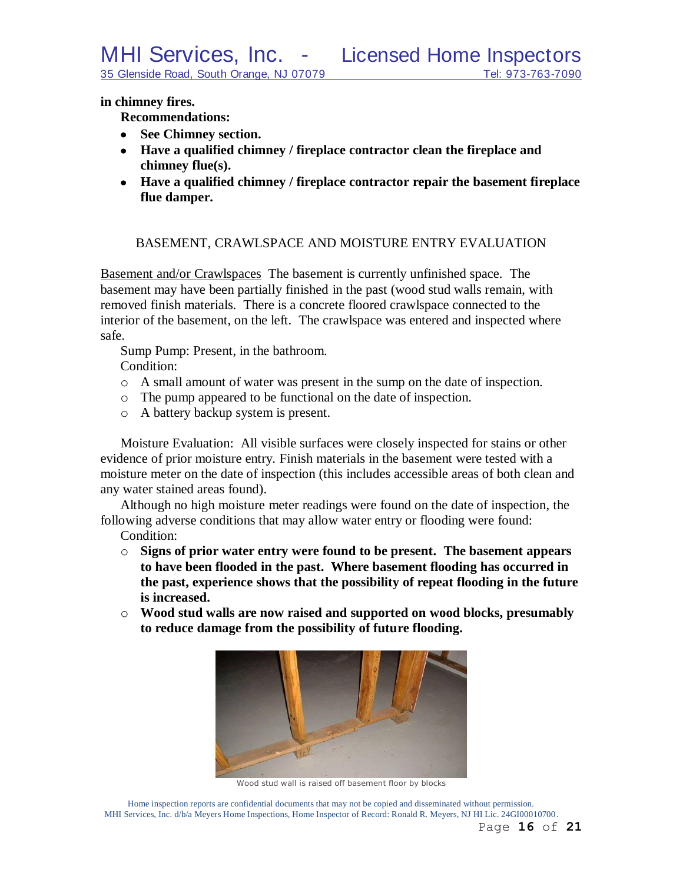**in chimney fires.**

**Recommendations:**

- **See Chimney section.**
- **Have a qualified chimney / fireplace contractor clean the fireplace and chimney flue(s).**
- **Have a qualified chimney / fireplace contractor repair the basement fireplace flue damper.**

## BASEMENT, CRAWLSPACE AND MOISTURE ENTRY EVALUATION

Basement and/or Crawlspaces The basement is currently unfinished space. The basement may have been partially finished in the past (wood stud walls remain, with removed finish materials. There is a concrete floored crawlspace connected to the interior of the basement, on the left. The crawlspace was entered and inspected where safe.

Sump Pump: Present, in the bathroom.

Condition:

- o A small amount of water was present in the sump on the date of inspection.
- o The pump appeared to be functional on the date of inspection.
- o A battery backup system is present.

Moisture Evaluation: All visible surfaces were closely inspected for stains or other evidence of prior moisture entry. Finish materials in the basement were tested with a moisture meter on the date of inspection (this includes accessible areas of both clean and any water stained areas found).

Although no high moisture meter readings were found on the date of inspection, the following adverse conditions that may allow water entry or flooding were found:

Condition:

- o **Signs of prior water entry were found to be present. The basement appears to have been flooded in the past. Where basement flooding has occurred in the past, experience shows that the possibility of repeat flooding in the future is increased.**
- o **Wood stud walls are now raised and supported on wood blocks, presumably to reduce damage from the possibility of future flooding.**



Wood stud wall is raised off basement floor by blocks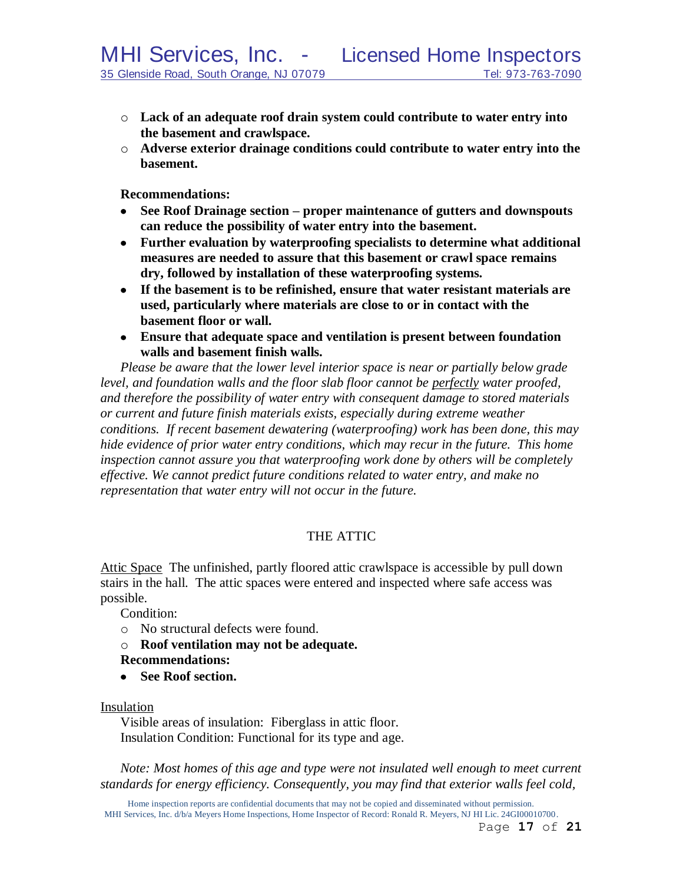- o **Lack of an adequate roof drain system could contribute to water entry into the basement and crawlspace.**
- o **Adverse exterior drainage conditions could contribute to water entry into the basement.**

**Recommendations:**

- **See Roof Drainage section – proper maintenance of gutters and downspouts can reduce the possibility of water entry into the basement.**
- **Further evaluation by waterproofing specialists to determine what additional measures are needed to assure that this basement or crawl space remains dry, followed by installation of these waterproofing systems.**
- **If the basement is to be refinished, ensure that water resistant materials are used, particularly where materials are close to or in contact with the basement floor or wall.**
- **Ensure that adequate space and ventilation is present between foundation walls and basement finish walls.**

*Please be aware that the lower level interior space is near or partially below grade level, and foundation walls and the floor slab floor cannot be perfectly water proofed, and therefore the possibility of water entry with consequent damage to stored materials or current and future finish materials exists, especially during extreme weather conditions. If recent basement dewatering (waterproofing) work has been done, this may hide evidence of prior water entry conditions, which may recur in the future. This home inspection cannot assure you that waterproofing work done by others will be completely effective. We cannot predict future conditions related to water entry, and make no representation that water entry will not occur in the future.*

# THE ATTIC

Attic Space The unfinished, partly floored attic crawlspace is accessible by pull down stairs in the hall. The attic spaces were entered and inspected where safe access was possible.

Condition:

- o No structural defects were found.
- o **Roof ventilation may not be adequate.**
- **Recommendations:**
- **See Roof section.**

#### Insulation

Visible areas of insulation: Fiberglass in attic floor. Insulation Condition: Functional for its type and age.

*Note: Most homes of this age and type were not insulated well enough to meet current standards for energy efficiency. Consequently, you may find that exterior walls feel cold,*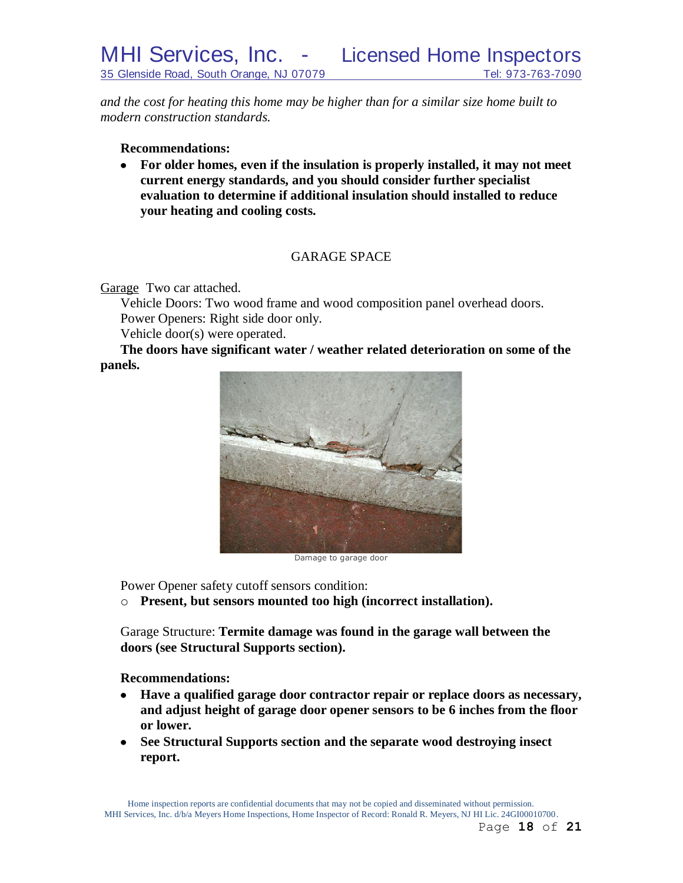*and the cost for heating this home may be higher than for a similar size home built to modern construction standards.*

**Recommendations:**

**For older homes, even if the insulation is properly installed, it may not meet current energy standards, and you should consider further specialist evaluation to determine if additional insulation should installed to reduce your heating and cooling costs.**

# GARAGE SPACE

Garage Two car attached.

Vehicle Doors: Two wood frame and wood composition panel overhead doors. Power Openers: Right side door only.

Vehicle door(s) were operated.

**The doors have significant water / weather related deterioration on some of the panels.**



Damage to garage door

Power Opener safety cutoff sensors condition:

o **Present, but sensors mounted too high (incorrect installation).**

Garage Structure: **Termite damage was found in the garage wall between the doors (see Structural Supports section).**

**Recommendations:**

- **Have a qualified garage door contractor repair or replace doors as necessary, and adjust height of garage door opener sensors to be 6 inches from the floor or lower.**
- **See Structural Supports section and the separate wood destroying insect report.**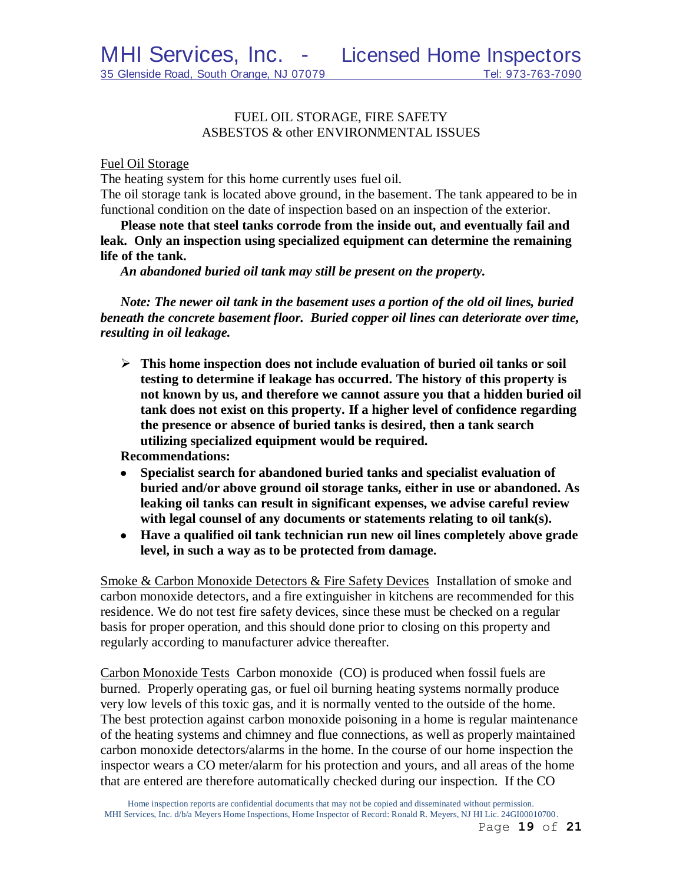## FUEL OIL STORAGE, FIRE SAFETY ASBESTOS & other ENVIRONMENTAL ISSUES

#### Fuel Oil Storage

The heating system for this home currently uses fuel oil.

The oil storage tank is located above ground, in the basement. The tank appeared to be in functional condition on the date of inspection based on an inspection of the exterior.

**Please note that steel tanks corrode from the inside out, and eventually fail and leak. Only an inspection using specialized equipment can determine the remaining life of the tank.**

*An abandoned buried oil tank may still be present on the property.*

*Note: The newer oil tank in the basement uses a portion of the old oil lines, buried beneath the concrete basement floor. Buried copper oil lines can deteriorate over time, resulting in oil leakage.*

 **This home inspection does not include evaluation of buried oil tanks or soil testing to determine if leakage has occurred. The history of this property is not known by us, and therefore we cannot assure you that a hidden buried oil tank does not exist on this property. If a higher level of confidence regarding the presence or absence of buried tanks is desired, then a tank search utilizing specialized equipment would be required.**

**Recommendations:**

- **Specialist search for abandoned buried tanks and specialist evaluation of buried and/or above ground oil storage tanks, either in use or abandoned. As leaking oil tanks can result in significant expenses, we advise careful review with legal counsel of any documents or statements relating to oil tank(s).**
- **Have a qualified oil tank technician run new oil lines completely above grade level, in such a way as to be protected from damage.**

Smoke & Carbon Monoxide Detectors & Fire Safety Devices Installation of smoke and carbon monoxide detectors, and a fire extinguisher in kitchens are recommended for this residence. We do not test fire safety devices, since these must be checked on a regular basis for proper operation, and this should done prior to closing on this property and regularly according to manufacturer advice thereafter.

Carbon Monoxide Tests Carbon monoxide (CO) is produced when fossil fuels are burned. Properly operating gas, or fuel oil burning heating systems normally produce very low levels of this toxic gas, and it is normally vented to the outside of the home. The best protection against carbon monoxide poisoning in a home is regular maintenance of the heating systems and chimney and flue connections, as well as properly maintained carbon monoxide detectors/alarms in the home. In the course of our home inspection the inspector wears a CO meter/alarm for his protection and yours, and all areas of the home that are entered are therefore automatically checked during our inspection. If the CO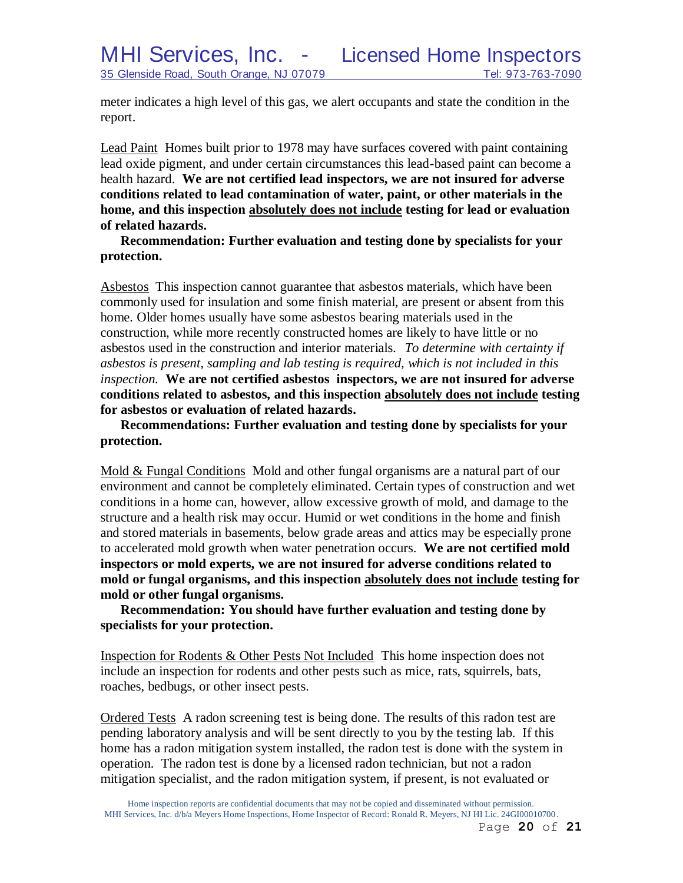meter indicates a high level of this gas, we alert occupants and state the condition in the report.

Lead Paint Homes built prior to 1978 may have surfaces covered with paint containing lead oxide pigment, and under certain circumstances this lead-based paint can become a health hazard. **We are not certified lead inspectors, we are not insured for adverse conditions related to lead contamination of water, paint, or other materials in the home, and this inspection absolutely does not include testing for lead or evaluation of related hazards.** 

**Recommendation: Further evaluation and testing done by specialists for your protection.**

Asbestos This inspection cannot guarantee that asbestos materials, which have been commonly used for insulation and some finish material, are present or absent from this home. Older homes usually have some asbestos bearing materials used in the construction, while more recently constructed homes are likely to have little or no asbestos used in the construction and interior materials. *To determine with certainty if asbestos is present, sampling and lab testing is required, which is not included in this inspection.* **We are not certified asbestos inspectors, we are not insured for adverse conditions related to asbestos, and this inspection absolutely does not include testing for asbestos or evaluation of related hazards.**

**Recommendations: Further evaluation and testing done by specialists for your protection.**

Mold & Fungal Conditions Mold and other fungal organisms are a natural part of our environment and cannot be completely eliminated. Certain types of construction and wet conditions in a home can, however, allow excessive growth of mold, and damage to the structure and a health risk may occur. Humid or wet conditions in the home and finish and stored materials in basements, below grade areas and attics may be especially prone to accelerated mold growth when water penetration occurs. **We are not certified mold inspectors or mold experts, we are not insured for adverse conditions related to mold or fungal organisms, and this inspection absolutely does not include testing for mold or other fungal organisms.**

**Recommendation: You should have further evaluation and testing done by specialists for your protection.**

Inspection for Rodents & Other Pests Not Included This home inspection does not include an inspection for rodents and other pests such as mice, rats, squirrels, bats, roaches, bedbugs, or other insect pests.

Ordered Tests A radon screening test is being done. The results of this radon test are pending laboratory analysis and will be sent directly to you by the testing lab. If this home has a radon mitigation system installed, the radon test is done with the system in operation. The radon test is done by a licensed radon technician, but not a radon mitigation specialist, and the radon mitigation system, if present, is not evaluated or